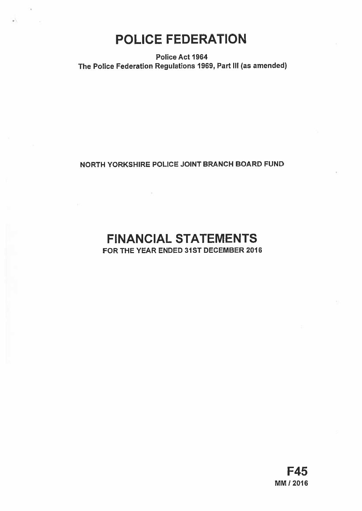# POLICE FEDERATION

Police Act 1964 The Police Federation Regulations 1969, Part Ill (as amended)

## NORTH YORKSHIRE POLICE JOINT BRANCH BOARD FUND

# FINANCIAL STATEMENTS

FOR THE YEAR ENDED 31ST DECEMBER 2016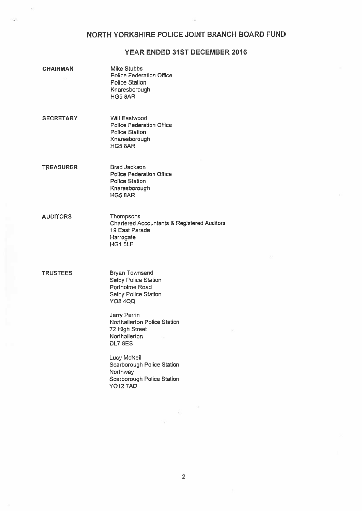## NORTH YORKSHIRE POLICE JOINT BRANCH BOARD FUND

## YEAR ENDED 31ST DECEMBER 2016

| <b>CHAIRMAN</b>  | Mike Stubbs<br><b>Police Federation Office</b><br><b>Police Station</b><br>Knaresborough<br>HG5 BAR                              |
|------------------|----------------------------------------------------------------------------------------------------------------------------------|
| <b>SECRETARY</b> | <b>Will Eastwood</b><br><b>Police Federation Office</b><br><b>Police Station</b><br>Knaresborough<br><b>HG5 8AR</b>              |
| <b>TREASURER</b> | <b>Brad Jackson</b><br><b>Police Federation Office</b><br><b>Police Station</b><br>Knaresborough<br>HG5 8AR                      |
| <b>AUDITORS</b>  | Thompsons<br><b>Chartered Accountants &amp; Registered Auditors</b><br>19 East Parade<br>Harrogate<br>HG1 5LF                    |
| <b>TRUSTEES</b>  | <b>Bryan Townsend</b><br>Selby Police Station<br>Portholme Road<br><b>Selby Police Station</b><br><b>YO8 4QQ</b><br>Jerry Perrin |
|                  | Northallerton Police Station<br>72 High Street<br>Northallerton<br><b>DL7 8ES</b>                                                |
|                  | <b>Lucy McNeil</b><br><b>Scarborough Police Station</b><br>Northway<br>Scarborough Police Station<br><b>YO12 7AD</b>             |
|                  |                                                                                                                                  |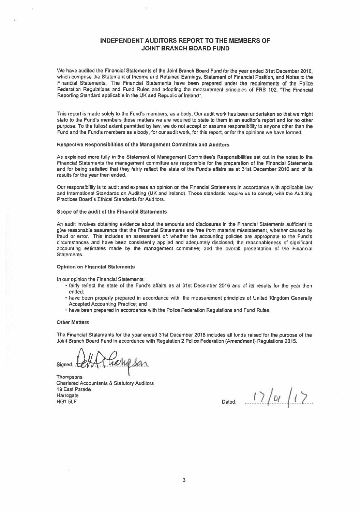## INDEPENDENT AUDITORS REPORT TO THE MEMBERS OF JOINT BRANCH BOARD FUND

We have audited the Financial Statements of the Joint Branch Board Fund for the year ended 31st December 2016, which comprise the Statement of Income and Retained Earnings, Statement of Financial Position, and Notes to the Financial Statements. The Financial Statements have been prepared under the requirements of the Police Federation Regulations and Fund Rules and adopting the measurement principles of FRS 102, 'The Financial Reporting Standard applicable in the UK and Republic of Ireland".

This repor<sup>t</sup> is made solely to the Fund's members, as <sup>a</sup> body. Our audit work has been undertaken so that we might state to the Fund's members those matters we are required to state to them in an auditor's repor<sup>t</sup> and for no other purpose. To the fullest extent permitted by law, we do not accep<sup>t</sup> or assume responsibility to anyone other than the Fund and the Fund's members as <sup>a</sup> body, for our audit work, for this report, or for the opinions we have formed.

#### Respective Responsibilities of the Management Committee and Auditors

As explained more fully in the Statement of Management Committee's Responsibilities set out in the notes to the Financial Statements the managemen<sup>t</sup> committee are responsble for the preparation of the Financial Statements and for being satisfied that they fairly reflect the state of the Fund's affairs as at 31st December 2016 and of its results for the year then ended.

Our responsibility is to audit and express an opinion on the Financial Statements in accordance with applicable law and International Standards on Auditing (UK and Ireland). Those standards require us to comply with the Auditing Practices Board's Ethical Standards for Auditors.

#### Scope of the audit of the Financial Statements

An audit involves obtaining evidence about the amounts and disclosures in the Financial Statements sufficient to <sup>g</sup>ive reasonable assurance that the Financial Statements are free from material misstatement, whether caused by fraud or error. This includes an assessment of: whether the accounting policies are appropriate to the Fund's circumstances and have been consistently applied and adequately disclosed; the reasonableness of significant accounting estimates made by the managemen<sup>t</sup> committee; and the overall presentation of the Financial Statements.

#### Opinion on Financial Statements

In our opinion the Financial Statements:

- fairly reflect the state of the Fund's affairs as at 31st December 2016 and of its results for the year then ended;
- have been properly prepared in accordance with the measurement principles of United Kingdom Generally Accepted Accounting Practice; and
- have been prepared in accordance with the Police Federation Regulations and Fund Rues.

#### Other Matters

The Financial Statements for the year ended 31st December 2016 includes all funds raised for the purpose of the Joint Branch Board Fund in accordance with Regulation 2 Police Federation (Amendment) Regulations 2015.

Golfsan Signed: d

**Thompsons** Chartered Accountants & Statutory Auditors 19 East Parade

The Last Parade<br>
Harrogate<br>
HG1 5LF<br>
HG1 5LF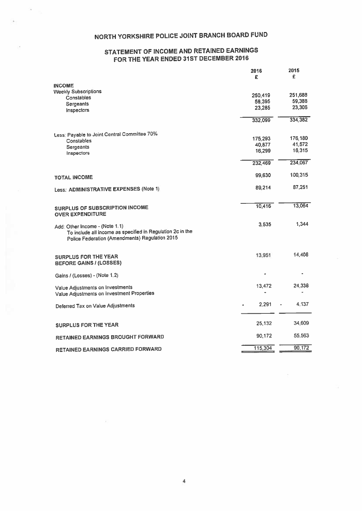## NORTH YORKSHIRE POLICE JOINT BRANCH BOARD FUND

## STATEMENT OF INCOME AND RETAINED EARNINGS FOR THE YEAR ENDED 31ST DECEMBER 2016

|                                                                                                                                                | 2016<br>£         | 2015<br>£ |
|------------------------------------------------------------------------------------------------------------------------------------------------|-------------------|-----------|
| <b>INCOME</b>                                                                                                                                  |                   |           |
| <b>Weekly Subscriptions</b>                                                                                                                    |                   | 251,688   |
| Constables                                                                                                                                     | 250,419<br>58,395 | 59,388    |
| <b>Sergeants</b>                                                                                                                               | 23,285            | 23,306    |
| Inspectors                                                                                                                                     |                   |           |
|                                                                                                                                                | 332,099           | 334.382   |
| Less: Payable to Joint Central Committee 70%                                                                                                   |                   |           |
| Constables                                                                                                                                     | 175,293           | 176,180   |
| Sergeants                                                                                                                                      | 40,877            | 41,572    |
| Inspectors                                                                                                                                     | 16,299            | 16,315    |
|                                                                                                                                                | 232,469           | 234,067   |
| <b>TOTAL INCOME</b>                                                                                                                            | 99.630            | 100,315   |
| Less: ADMINISTRATIVE EXPENSES (Note 1)                                                                                                         | 89,214            | 87,251    |
|                                                                                                                                                |                   |           |
| <b>SURPLUS OF SUBSCRIPTION INCOME</b><br><b>OVER EXPENDITURE</b>                                                                               | 10,416            | 13,064    |
|                                                                                                                                                | 3.535             | 1,344     |
| Add: Other Income - (Note 1.1)<br>To include all income as specified in Regulation 2c in the<br>Police Federation (Amendments) Regulation 2015 |                   |           |
|                                                                                                                                                |                   |           |
| <b>SURPLUS FOR THE YEAR</b><br><b>BEFORE GAINS / (LOSSES)</b>                                                                                  | 13,951            | 14,408    |
| Gains / (Losses) - (Note 1.2)                                                                                                                  |                   |           |
|                                                                                                                                                | 13,472            | 24,338    |
| Value Adjustments on Investments<br>Value Adjustments on Investment Properties                                                                 |                   |           |
| Deferred Tax on Value Adjustments                                                                                                              | 2,291             | 4,137     |
|                                                                                                                                                |                   |           |
| <b>SURPLUS FOR THE YEAR</b>                                                                                                                    | 25,132            | 34,609    |
| RETAINED EARNINGS BROUGHT FORWARD                                                                                                              | 90,172            | 55,563    |
| <b>RETAINED EARNINGS CARRIED FORWARD</b>                                                                                                       | 115,304           | 90,172    |
|                                                                                                                                                |                   |           |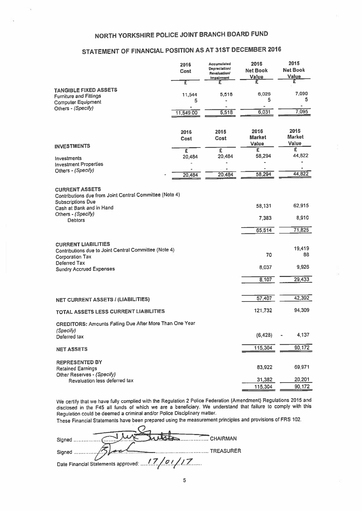## NORTH YORKSHIRE POLICE JOINT BRANCH BOARD FUND

### STATEMENT OF FINANCIAL POSITION AS AT 31ST DECEMBER <sup>2016</sup>

| NORTH YORKSHIRE POLICE JOINT BRANCH BOARD FUND                                                                                           |              |                                                                         |                                  |                                  |
|------------------------------------------------------------------------------------------------------------------------------------------|--------------|-------------------------------------------------------------------------|----------------------------------|----------------------------------|
| STATEMENT OF FINANCIAL POSITION AS AT 31ST DECEMBER 2016                                                                                 |              |                                                                         |                                  |                                  |
|                                                                                                                                          | 2016<br>Cost | <b>Accumulated</b><br><b>Depreclation/</b><br>Revaluation/<br>Impalment | 2016<br><b>Net Book</b><br>Value | 2015<br><b>Net Book</b><br>Value |
| <b>TANGIBLE FIXED ASSETS</b>                                                                                                             | τ            | £                                                                       | £                                | £                                |
| <b>Furniture and Fittings</b><br><b>Computer Equipment</b>                                                                               | 11,544<br>5  | 5,518                                                                   | 6,026<br>5                       | 7,090<br>5                       |
| Others - (Specify)                                                                                                                       | 11,549.00    | 5,518                                                                   | 6,031                            | 7,095                            |
| <b>INVESTMENTS</b>                                                                                                                       | 2016<br>Cost | 2015<br>Cost                                                            | 2016<br><b>Market</b><br>Value   | 2015<br><b>Market</b><br>Value   |
|                                                                                                                                          | £<br>20,484  | £<br>20,484                                                             | Έ<br>58,294                      | Ξ<br>44,822                      |
| Investments<br><b>Investment Properties</b>                                                                                              |              |                                                                         |                                  |                                  |
| Others - (Specify)                                                                                                                       | 20,484       | 20,484                                                                  | 58,294                           | 44.822                           |
| <b>CURRENT ASSETS</b><br>Contributions due from Joint Central Committee (Note 4)<br><b>Subscriptions Due</b><br>Cash at Bank and in Hand |              |                                                                         | 58,131                           | 62,915                           |
| Others - (Specify)<br><b>Debtors</b>                                                                                                     |              |                                                                         | 7,383                            | 8,910                            |
|                                                                                                                                          |              |                                                                         | 65,514                           | 71,825                           |
| <b>CURRENT LIABILITIES</b><br>Contributions due to Joint Central Committee (Note 4)<br><b>Corporation Tax</b>                            |              |                                                                         | 70                               | 19,419<br>88                     |
| Deferred Tax<br><b>Sundry Accrued Expenses</b>                                                                                           |              |                                                                         | 8,037                            | 9,926                            |
|                                                                                                                                          |              |                                                                         | 8,107                            | 29,433                           |
| NET CURRENT ASSETS / (LIABILITIES)                                                                                                       |              |                                                                         | 57,407                           | 42,392                           |
| TOTAL ASSETS LESS CURRENT LIABILITIES                                                                                                    |              |                                                                         | 121,732                          | 94,309                           |
| <b>CREDITORS: Amounts Falling Due After More Than One Year</b><br>(Specify)                                                              |              |                                                                         |                                  |                                  |
| Deferred tax                                                                                                                             |              |                                                                         | (6, 428)                         | 4,137                            |
| <b>NET ASSETS</b>                                                                                                                        |              |                                                                         | 115,304                          | 90,172                           |
| <b>REPRESENTED BY</b><br><b>Retained Earnings</b><br>Other Reserves - (Specify)                                                          |              |                                                                         | 83,922                           | 69,971                           |
| Revaluation less deferred tax                                                                                                            |              |                                                                         | 31,382                           | 20,201                           |
|                                                                                                                                          |              |                                                                         | 115,304                          | 90,172                           |

We certify that we have fully complied with the Regulation <sup>2</sup> Police Federation (Amendment) Regulations <sup>2015</sup> and disclosed in the F45 all funds of which we are <sup>a</sup> beneficiary. We understand that failure to comply with this Regulation could be deemed a criminal and/or Police Disciplinary matter.

These Financial Statements have been prepare<sup>d</sup> using the measurement principles and provisions of FRS 102.

| CHAIRMAN                                     |
|----------------------------------------------|
|                                              |
| TREASURER                                    |
| Date Financial Statements approved: 17/01/17 |
|                                              |

5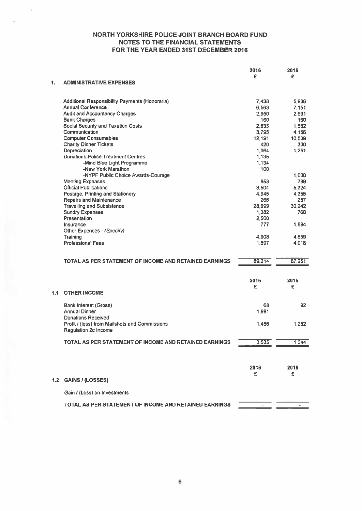|     |                                                        | 2016<br>£ | 2015<br>£ |
|-----|--------------------------------------------------------|-----------|-----------|
| 1.  | <b>ADMINISTRATIVE EXPENSES</b>                         |           |           |
|     | Additional Responsibility Payments (Honoraria)         | 7,438     | 5,936     |
|     | <b>Annual Conference</b>                               | 6,563     | 7,151     |
|     | <b>Audit and Accountancy Charges</b>                   | 2,950     | 2,691     |
|     | <b>Bank Charges</b>                                    | 160       | 160       |
|     | <b>Social Security and Taxation Costs</b>              | 2,833     | 1,562     |
|     | Communication                                          | 3,795     | 4,156     |
|     | <b>Computer Consumables</b>                            | 12,191    | 10,539    |
|     | <b>Charity Dinner Tickets</b>                          | 420       | 300       |
|     | Depreciation                                           | 1,064     | 1,251     |
|     | <b>Donations-Police Treatment Centres</b>              | 1,135     |           |
|     | -Mind Blue Light Programme                             | 1,134     |           |
|     | -New York Marathon                                     | 100       |           |
|     | -NYPF Public Choice Awards-Courage                     |           | 1,000     |
|     | <b>Meeting Expenses</b>                                | 853       | 788       |
|     | <b>Official Publications</b>                           | 3,504     | 5,324     |
|     | Postage, Printing and Stationery                       | 4,945     | 4,355     |
|     | Repairs and Maintenance                                | 266       | 257       |
|     | <b>Travelling and Subsistence</b>                      | 28,699    | 30.242    |
|     | <b>Sundry Expenses</b>                                 | 1,382     | 768       |
|     | Presentation                                           | 2,500     |           |
|     | Insurance                                              | 777       | 1,894     |
|     | Other Expenses - (Specify)                             |           |           |
|     | Training                                               | 4,908     | 4,859     |
|     | <b>Professional Fees</b>                               | 1,597     | 4,018     |
|     | TOTAL AS PER STATEMENT OF INCOME AND RETAINED EARNINGS | 89,214    | 87,251    |
|     |                                                        |           |           |
|     |                                                        | 2016      | 2015      |
|     |                                                        | £         | £         |
| 1.1 | <b>OTHER INCOME</b>                                    |           |           |
|     | <b>Bank Interest (Gross)</b>                           | 68        | 92        |
|     | <b>Annual Dinner</b>                                   | 1,981     |           |
|     | <b>Donations Received</b>                              |           |           |
|     | Profit / (loss) from Mailshots and Commissions         | 1,486     | 1,252     |
|     | Regulation 2c Income                                   |           |           |
|     | TOTAL AS PER STATEMENT OF INCOME AND RETAINED EARNINGS | 3,535     | 1,344     |
|     |                                                        |           |           |
|     |                                                        | 2016      | 2015      |
|     |                                                        | £         | £.        |
| 1.2 | <b>GAINS / (LOSSES)</b>                                |           |           |
|     | Gain / (Loss) on Investments                           |           |           |
|     | TOTAL AS PER STATEMENT OF INCOME AND RETAINED EARNINGS |           |           |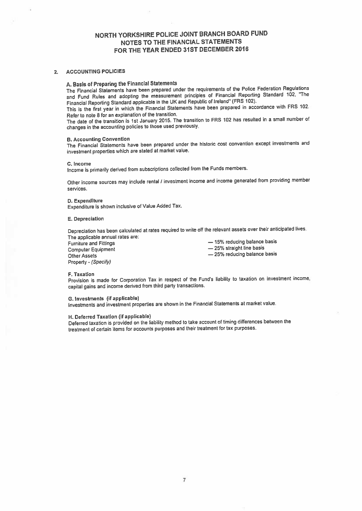#### 2. ACCOUNTING POLICIES

## A. Basis of Preparing the Financial Statements

The Financial Statements have been prepare<sup>d</sup> under the requirements of the Police Federation Regulations and Fund Rules and adopting the measurement principles of Financial Reporting Standard 102. "The Financial Reporting Standard applicable in the UK and Republic of Ireland' (FRS 102).

This is the first year in which the Financial Statements have been prepare<sup>d</sup> in accordance with FRS 102. Refer to note 8 for an explanation of the transition.

The date of the transition is 1st January 2015. The transition to FRS <sup>102</sup> has resulted in <sup>a</sup> small number of changes in the accounting policies to those used previously.

#### B. Accounting Convention

The Financial Statements have been prepare<sup>d</sup> under the historic cost convention excep<sup>t</sup> investments and investment properties which are stated at market value.

#### C. Income

Income is primarily derived from subscriptions collected from the Funds members.

Other income sources may include rental / investment income and income generated from providing member services.

#### D. Expenditure

Expenditure is shown inclusive of Value Added Tax.

#### E. Depreciation

Depreciation has been calculated at rates required to write off the relevant assets over their anticipated lives. The applicable annual rates are:

Other Assets **Other Assets** — 25% reducing balance basis Property - (Specify)

Furniture and Fittings — 15% reducing balance basis Computer Equipment **Example 25%** straight line basis

#### F. Taxation

Provision is made for Corporation Tax in respect of the Fund's liability to taxation on investment income, capital gains and income derived from third party transactions.

### G. Investments (if applicable)

Investments and investment properties are shown in the Financial Statements at market value.

#### H. Deferred Taxation (if applicable)

Deferred taxation is provided on the liability method to take account of timing differences between the treatment of certain items for accounts purposes and their treatment for tax purposes.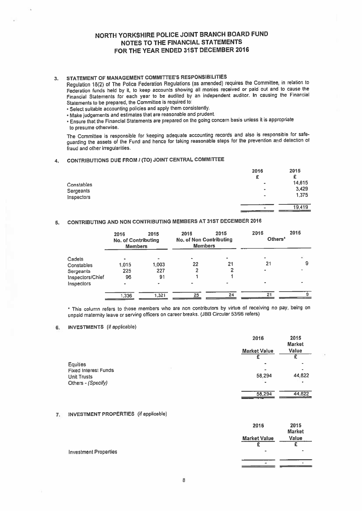## 3. STATEMENT OF MANAGEMENT COMMITTEES RESPONSIBILITIES

Regulation 18(2) of The Police Federation Regulations (as amended) requires the Committee, in relation to Federation funds held by it, to keep accounts showing all monies received or paid out and to cause the Financial Statements for each year to be audited by an independent auditor. In causing the Financial Statements to be prepared, the Committee is required to:

- Select suitable accounting policies and apply them consistently.
- Make judgements and estimates that are reasonable and prudent.

Ensure that the Financial Statements are prepare<sup>d</sup> on the going concern basis unless it is appropriate to presume otherwise.

The Committee is responsible for keeping adequate accounting records and also is responsibe for safe guarding the assets of the Fund and hence for taking reasonable steps for the prevention and detection of fraud and other irregularities.

### 4. CONTRIBUTIONS DUE FROM <sup>I</sup> (TO) JOINT CENTRAL COMMITtEE

|            | 2016           | 2015   |
|------------|----------------|--------|
|            | £              | £      |
| Constables | $\bullet$      | 14,615 |
| Sergeants  | $\bullet$      | 3,429  |
| Inspectors | $\blacksquare$ | 1,375  |
|            | $\blacksquare$ | 19,419 |
|            |                |        |

### 5. CONTRIBUTING AND NON CONTRIBUTING MEMBERS AT 31ST DECEMBER <sup>2016</sup>

|                  | 2016<br><b>No. of Contributing</b><br><b>Members</b> | 2015                     | 2016<br><b>No. of Non Contributing</b><br><b>Members</b> | 2015 | 2016<br>Others <sup>*</sup> | 2015 |
|------------------|------------------------------------------------------|--------------------------|----------------------------------------------------------|------|-----------------------------|------|
| Cadets           | ٠                                                    | $\overline{\phantom{a}}$ | $\bullet$                                                |      | $\overline{\phantom{0}}$    |      |
| Constables       | 1.015                                                | 1.003                    | 22                                                       | 21   | 21                          | 9    |
| Sergeants        | 225                                                  | 227                      |                                                          |      | ۰                           |      |
| Inspectors/Chief | 96                                                   | 91                       |                                                          |      |                             |      |
| Inspectors       | $\blacksquare$                                       | $\blacksquare$           |                                                          |      |                             |      |
|                  | 1,336                                                | 1,321                    | 25                                                       | 24   | 21                          |      |
|                  |                                                      |                          |                                                          |      |                             |      |

This column refers to those members who are non contributors by virtue of receiving no pay, being on unpaid maternity leave or serving officers on career breaks. (JBB Circular 53/96 refers)

#### 6. INVESTMENTS (if applicable)

|                             | 2016                | 2015<br><b>Market</b>    |
|-----------------------------|---------------------|--------------------------|
|                             | <b>Market Value</b> | Value                    |
|                             |                     |                          |
| Equities                    | ٠                   |                          |
| <b>Fixed Interest Funds</b> |                     | $\overline{\phantom{0}}$ |
| <b>Unit Trusts</b>          | 58.294              | 44.822                   |
| Others - (Specify)          | $\bullet$           | $\bullet$                |
|                             | 58,294              | 44,822                   |

#### 7. INVESTMENT PROPERTIES (if applicable)

|                              | 2016                | 2015<br><b>Market</b> |
|------------------------------|---------------------|-----------------------|
|                              | <b>Market Value</b> | Value                 |
|                              |                     |                       |
| <b>Investment Properties</b> |                     |                       |
|                              | ۰                   |                       |